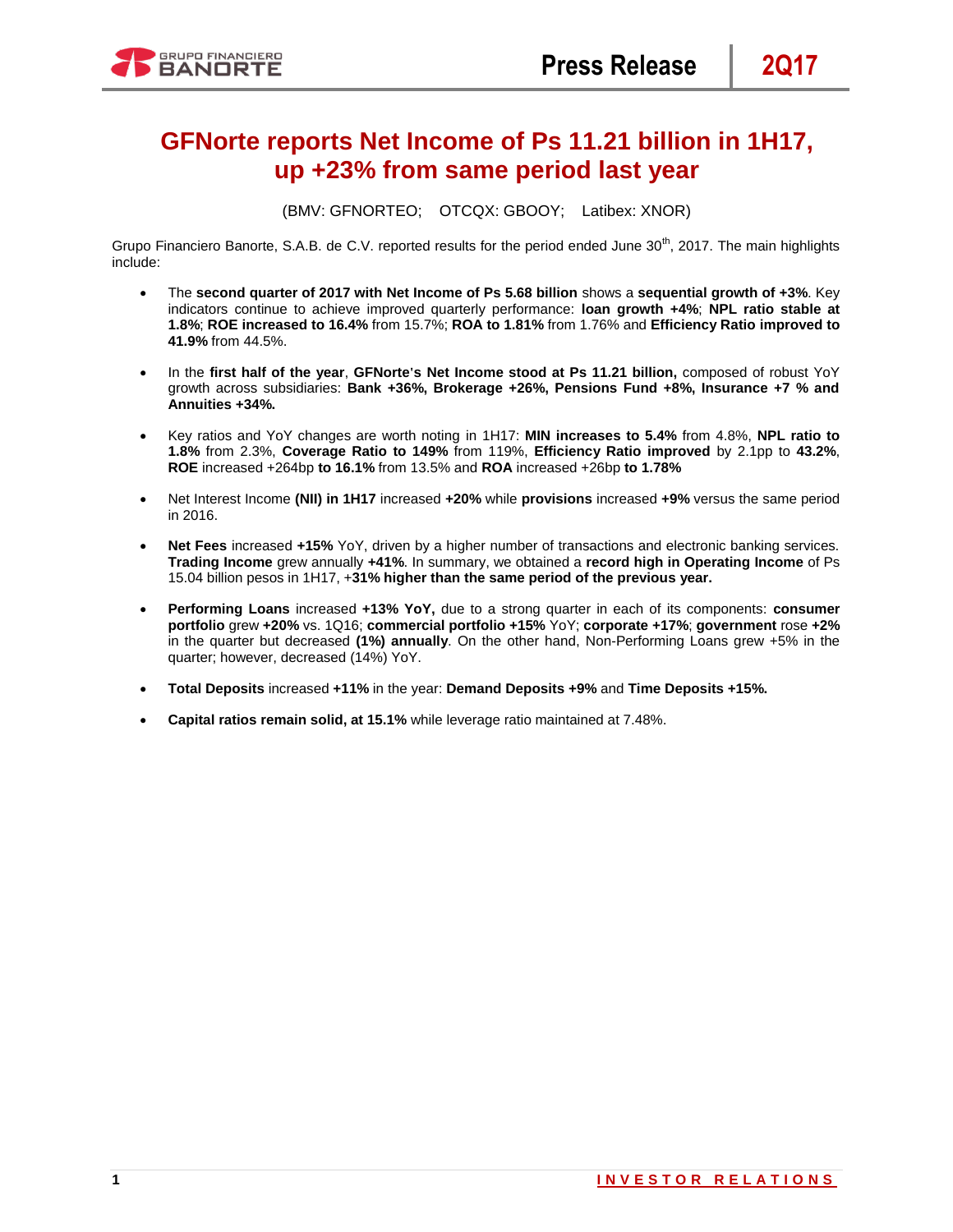

# **GFNorte reports Net Income of Ps 11.21 billion in 1H17, up +23% from same period last year**

(BMV: GFNORTEO; OTCQX: GBOOY; Latibex: XNOR)

Grupo Financiero Banorte, S.A.B. de C.V. reported results for the period ended June 30<sup>th</sup>, 2017. The main highlights include:

- The **second quarter of 2017 with Net Income of Ps 5.68 billion** shows a **sequential growth of +3%**. Key indicators continue to achieve improved quarterly performance: **loan growth +4%**; **NPL ratio stable at 1.8%**; **ROE increased to 16.4%** from 15.7%; **ROA to 1.81%** from 1.76% and **Efficiency Ratio improved to 41.9%** from 44.5%.
- In the **first half of the year**, **GFNorte's Net Income stood at Ps 11.21 billion,** composed of robust YoY growth across subsidiaries: **Bank +36%, Brokerage +26%, Pensions Fund +8%, Insurance +7 % and Annuities +34%.**
- Key ratios and YoY changes are worth noting in 1H17: **MIN increases to 5.4%** from 4.8%, **NPL ratio to 1.8%** from 2.3%, **Coverage Ratio to 149%** from 119%, **Efficiency Ratio improved** by 2.1pp to **43.2%**, **ROE** increased +264bp **to 16.1%** from 13.5% and **ROA** increased +26bp **to 1.78%**
- Net Interest Income **(NII) in 1H17** increased **+20%** while **provisions** increased **+9%** versus the same period in 2016.
- **Net Fees** increased **+15%** YoY, driven by a higher number of transactions and electronic banking services. **Trading Income** grew annually **+41%**. In summary, we obtained a **record high in Operating Income** of Ps 15.04 billion pesos in 1H17, +**31% higher than the same period of the previous year.**
- **Performing Loans** increased **+13% YoY,** due to a strong quarter in each of its components: **consumer portfolio** grew **+20%** vs. 1Q16; **commercial portfolio +15%** YoY; **corporate +17%**; **government** rose **+2%**  in the quarter but decreased **(1%) annually**. On the other hand, Non-Performing Loans grew +5% in the quarter; however, decreased (14%) YoY.
- **Total Deposits** increased **+11%** in the year: **Demand Deposits +9%** and **Time Deposits +15%.**
- **Capital ratios remain solid, at 15.1%** while leverage ratio maintained at 7.48%.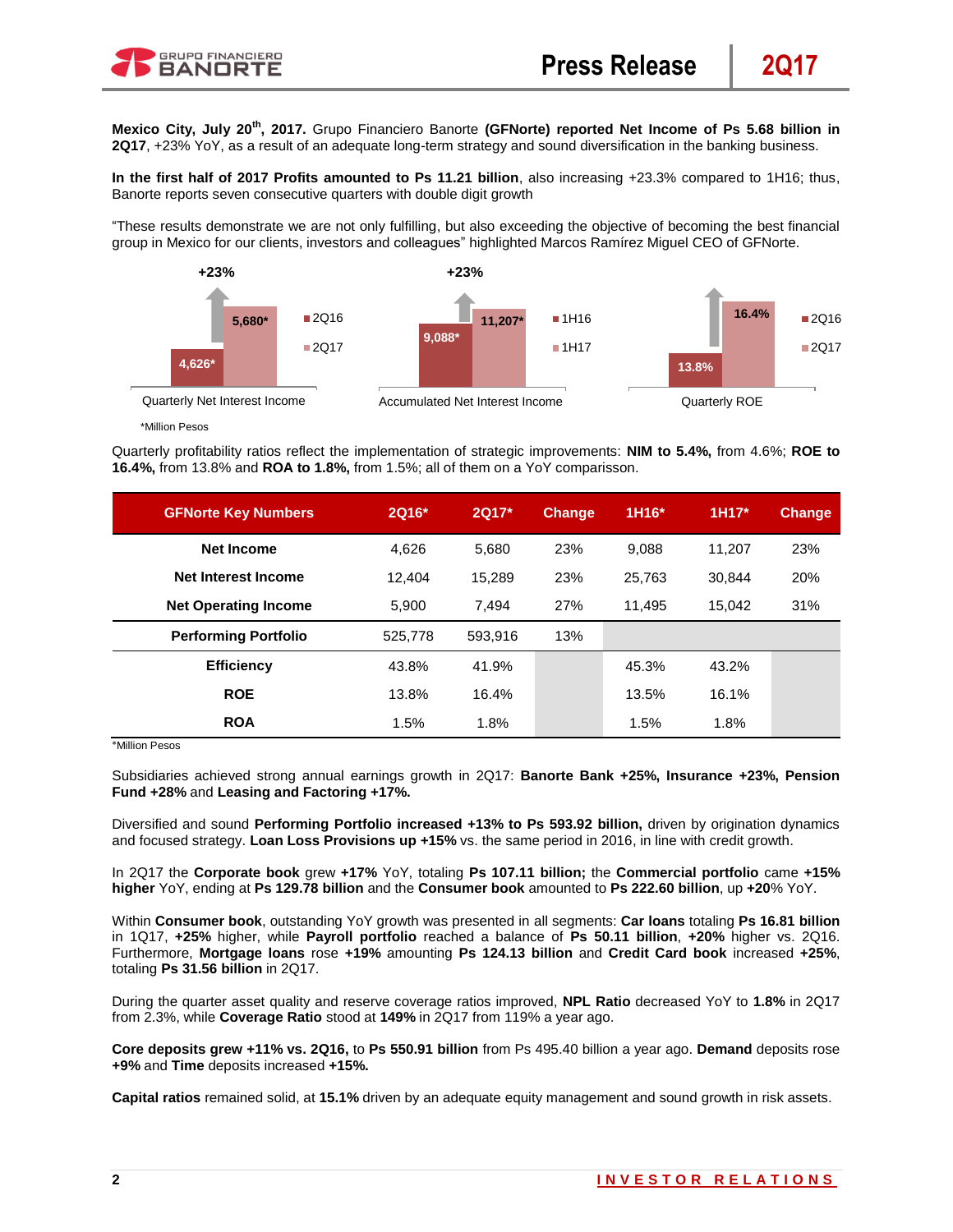**Mexico City, July 20 th, 2017.** Grupo Financiero Banorte **(GFNorte) reported Net Income of Ps 5.68 billion in 2Q17**, +23% YoY, as a result of an adequate long-term strategy and sound diversification in the banking business.

**In the first half of 2017 Profits amounted to Ps 11.21 billion**, also increasing +23.3% compared to 1H16; thus, Banorte reports seven consecutive quarters with double digit growth

"These results demonstrate we are not only fulfilling, but also exceeding the objective of becoming the best financial group in Mexico for our clients, investors and colleagues" highlighted Marcos Ramírez Miguel CEO of GFNorte.



\*Million Pesos

Quarterly profitability ratios reflect the implementation of strategic improvements: **NIM to 5.4%,** from 4.6%; **ROE to 16.4%,** from 13.8% and **ROA to 1.8%,** from 1.5%; all of them on a YoY comparisson.

| <b>GFNorte Key Numbers</b>  | 2Q16*   | 2Q17*   | <b>Change</b> | 1H16*  | $1H17*$ | <b>Change</b> |
|-----------------------------|---------|---------|---------------|--------|---------|---------------|
| <b>Net Income</b>           | 4.626   | 5,680   | 23%           | 9.088  | 11.207  | 23%           |
| Net Interest Income         | 12.404  | 15.289  | 23%           | 25.763 | 30.844  | 20%           |
| <b>Net Operating Income</b> | 5.900   | 7.494   | 27%           | 11.495 | 15,042  | 31%           |
| <b>Performing Portfolio</b> | 525,778 | 593.916 | 13%           |        |         |               |
| <b>Efficiency</b>           | 43.8%   | 41.9%   |               | 45.3%  | 43.2%   |               |
| <b>ROE</b>                  | 13.8%   | 16.4%   |               | 13.5%  | 16.1%   |               |
| <b>ROA</b>                  | 1.5%    | 1.8%    |               | 1.5%   | 1.8%    |               |

\*Million Pesos

Subsidiaries achieved strong annual earnings growth in 2Q17: **Banorte Bank +25%, Insurance +23%, Pension Fund +28%** and **Leasing and Factoring +17%.**

Diversified and sound **Performing Portfolio increased +13% to Ps 593.92 billion,** driven by origination dynamics and focused strategy. **Loan Loss Provisions up +15%** vs. the same period in 2016, in line with credit growth.

In 2Q17 the **Corporate book** grew **+17%** YoY, totaling **Ps 107.11 billion;** the **Commercial portfolio** came **+15% higher** YoY, ending at **Ps 129.78 billion** and the **Consumer book** amounted to **Ps 222.60 billion**, up **+20**% YoY.

Within **Consumer book**, outstanding YoY growth was presented in all segments: **Car loans** totaling **Ps 16.81 billion** in 1Q17, **+25%** higher, while **Payroll portfolio** reached a balance of **Ps 50.11 billion**, **+20%** higher vs. 2Q16. Furthermore, **Mortgage loans** rose **+19%** amounting **Ps 124.13 billion** and **Credit Card book** increased **+25%**, totaling **Ps 31.56 billion** in 2Q17.

During the quarter asset quality and reserve coverage ratios improved, **NPL Ratio** decreased YoY to **1.8%** in 2Q17 from 2.3%, while **Coverage Ratio** stood at **149%** in 2Q17 from 119% a year ago.

**Core deposits grew +11% vs. 2Q16,** to **Ps 550.91 billion** from Ps 495.40 billion a year ago. **Demand** deposits rose **+9%** and **Time** deposits increased **+15%.**

**Capital ratios** remained solid, at **15.1%** driven by an adequate equity management and sound growth in risk assets.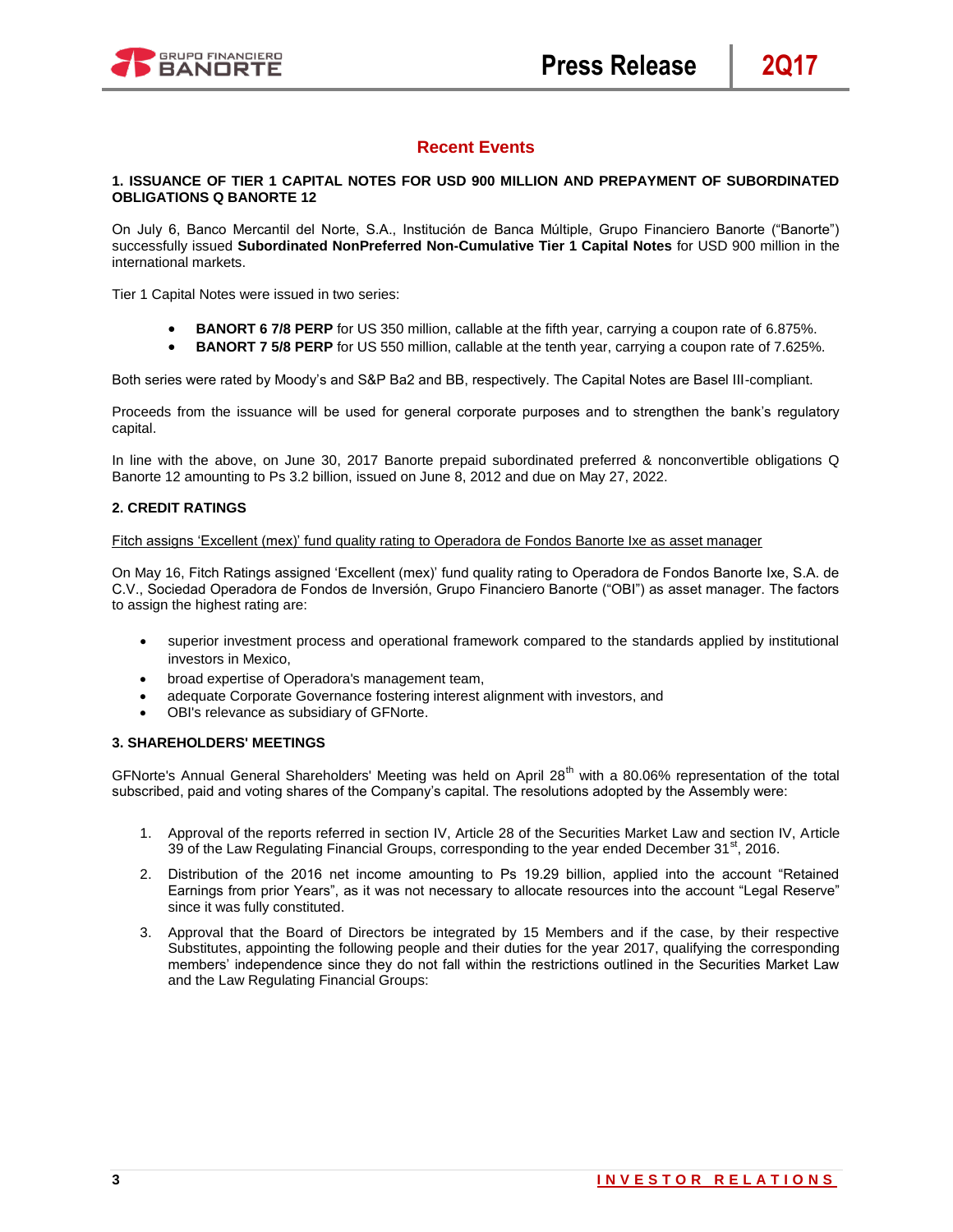

# **Recent Events**

# **1. ISSUANCE OF TIER 1 CAPITAL NOTES FOR USD 900 MILLION AND PREPAYMENT OF SUBORDINATED OBLIGATIONS Q BANORTE 12**

On July 6, Banco Mercantil del Norte, S.A., Institución de Banca Múltiple, Grupo Financiero Banorte ("Banorte") successfully issued **Subordinated NonPreferred Non-Cumulative Tier 1 Capital Notes** for USD 900 million in the international markets.

Tier 1 Capital Notes were issued in two series:

- **BANORT 6 7/8 PERP** for US 350 million, callable at the fifth year, carrying a coupon rate of 6.875%.
- **BANORT 7 5/8 PERP** for US 550 million, callable at the tenth year, carrying a coupon rate of 7.625%.

Both series were rated by Moody's and S&P Ba2 and BB, respectively. The Capital Notes are Basel III-compliant.

Proceeds from the issuance will be used for general corporate purposes and to strengthen the bank's regulatory capital.

In line with the above, on June 30, 2017 Banorte prepaid subordinated preferred & nonconvertible obligations Q Banorte 12 amounting to Ps 3.2 billion, issued on June 8, 2012 and due on May 27, 2022.

# **2. CREDIT RATINGS**

#### Fitch assigns 'Excellent (mex)' fund quality rating to Operadora de Fondos Banorte Ixe as asset manager

On May 16, Fitch Ratings assigned 'Excellent (mex)' fund quality rating to Operadora de Fondos Banorte Ixe, S.A. de C.V., Sociedad Operadora de Fondos de Inversión, Grupo Financiero Banorte ("OBI") as asset manager. The factors to assign the highest rating are:

- superior investment process and operational framework compared to the standards applied by institutional investors in Mexico,
- broad expertise of Operadora's management team,
- adequate Corporate Governance fostering interest alignment with investors, and
- OBI's relevance as subsidiary of GFNorte.

# **3. SHAREHOLDERS' MEETINGS**

GFNorte's Annual General Shareholders' Meeting was held on April 28<sup>th</sup> with a 80.06% representation of the total subscribed, paid and voting shares of the Company's capital. The resolutions adopted by the Assembly were:

- 1. Approval of the reports referred in section IV, Article 28 of the Securities Market Law and section IV, Article 39 of the Law Regulating Financial Groups, corresponding to the year ended December  $31^{\text{st}}$ , 2016.
- 2. Distribution of the 2016 net income amounting to Ps 19.29 billion, applied into the account "Retained Earnings from prior Years", as it was not necessary to allocate resources into the account "Legal Reserve" since it was fully constituted.
- 3. Approval that the Board of Directors be integrated by 15 Members and if the case, by their respective Substitutes, appointing the following people and their duties for the year 2017, qualifying the corresponding members' independence since they do not fall within the restrictions outlined in the Securities Market Law and the Law Regulating Financial Groups: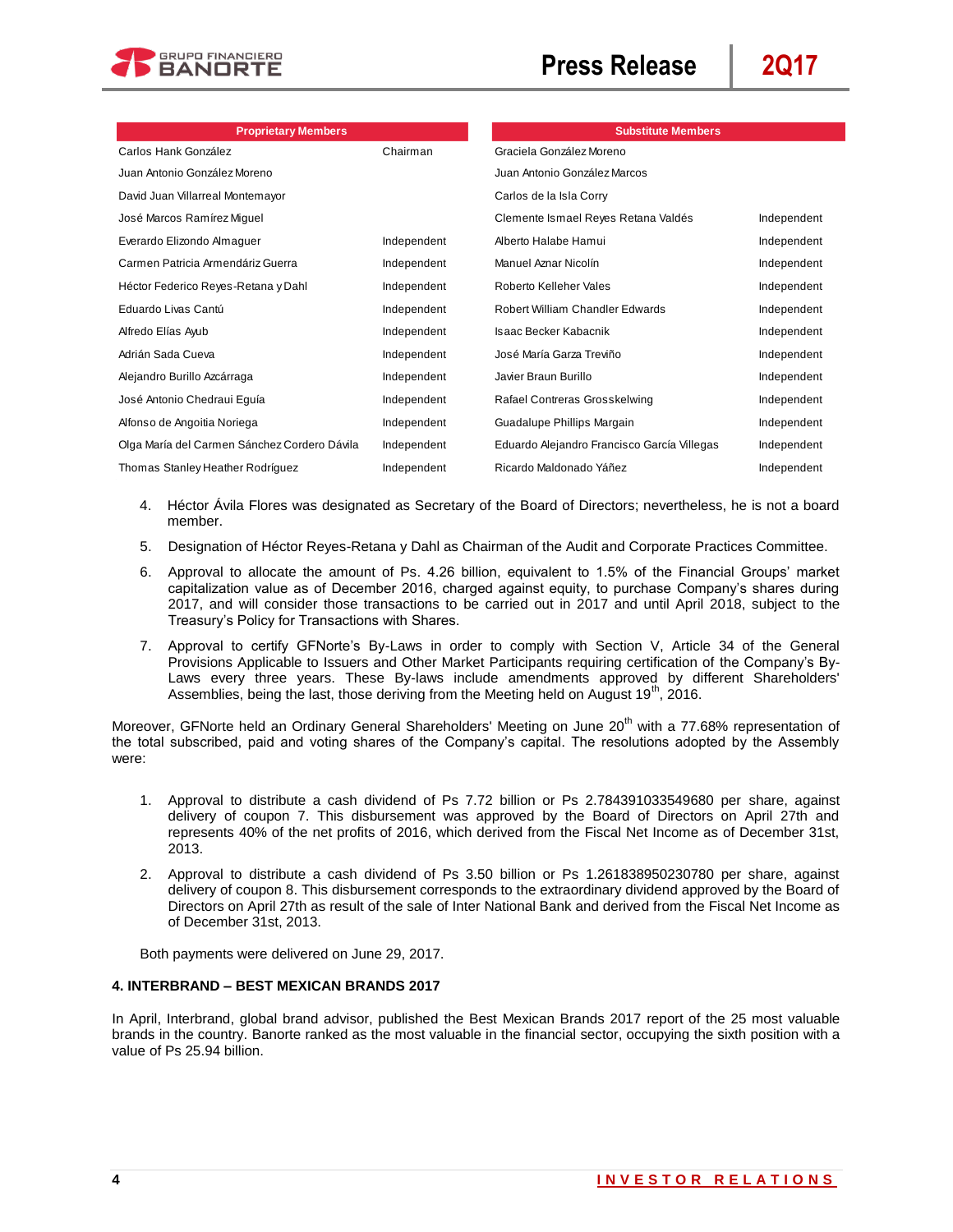

| <b>Proprietary Members</b>                   |             | <b>Substitute Members</b>                   |             |
|----------------------------------------------|-------------|---------------------------------------------|-------------|
| Carlos Hank González                         | Chairman    | Graciela González Moreno                    |             |
| Juan Antonio González Moreno                 |             | Juan Antonio González Marcos                |             |
| David Juan Villarreal Montemayor             |             | Carlos de la Isla Corry                     |             |
| José Marcos Ramírez Miguel                   |             | Clemente Ismael Reyes Retana Valdés         | Independent |
| Everardo Elizondo Almaguer                   | Independent | Alberto Halabe Hamui                        | Independent |
| Carmen Patricia Armendáriz Guerra            | Independent | Manuel Aznar Nicolín                        | Independent |
| Héctor Federico Reyes-Retana y Dahl          | Independent | Roberto Kelleher Vales                      | Independent |
| Eduardo Livas Cantú                          | Independent | Robert William Chandler Edwards             | Independent |
| Alfredo Elías Ayub                           | Independent | Isaac Becker Kabacnik                       | Independent |
| Adrián Sada Cueva                            | Independent | José María Garza Treviño                    | Independent |
| Alejandro Burillo Azcárraga                  | Independent | Javier Braun Burillo                        | Independent |
| José Antonio Chedraui Eguía                  | Independent | Rafael Contreras Grosskelwing               | Independent |
| Alfonso de Angoitia Noriega                  | Independent | Guadalupe Phillips Margain                  | Independent |
| Olga María del Carmen Sánchez Cordero Dávila | Independent | Eduardo Alejandro Francisco García Villegas | Independent |
| Thomas Stanley Heather Rodríguez             | Independent | Ricardo Maldonado Yáñez                     | Independent |

- 4. Héctor Ávila Flores was designated as Secretary of the Board of Directors; nevertheless, he is not a board member.
- 5. Designation of Héctor Reyes-Retana y Dahl as Chairman of the Audit and Corporate Practices Committee.
- 6. Approval to allocate the amount of Ps. 4.26 billion, equivalent to 1.5% of the Financial Groups' market capitalization value as of December 2016, charged against equity, to purchase Company's shares during 2017, and will consider those transactions to be carried out in 2017 and until April 2018, subject to the Treasury's Policy for Transactions with Shares.
- 7. Approval to certify GFNorte's By-Laws in order to comply with Section V, Article 34 of the General Provisions Applicable to Issuers and Other Market Participants requiring certification of the Company's By-Laws every three years. These By-laws include amendments approved by different Shareholders' Assemblies, being the last, those deriving from the Meeting held on August  $19<sup>th</sup>$ , 2016.

Moreover, GFNorte held an Ordinary General Shareholders' Meeting on June 20<sup>th</sup> with a 77.68% representation of the total subscribed, paid and voting shares of the Company's capital. The resolutions adopted by the Assembly were:

- 1. Approval to distribute a cash dividend of Ps 7.72 billion or Ps 2.784391033549680 per share, against delivery of coupon 7. This disbursement was approved by the Board of Directors on April 27th and represents 40% of the net profits of 2016, which derived from the Fiscal Net Income as of December 31st, 2013.
- 2. Approval to distribute a cash dividend of Ps 3.50 billion or Ps 1.261838950230780 per share, against delivery of coupon 8. This disbursement corresponds to the extraordinary dividend approved by the Board of Directors on April 27th as result of the sale of Inter National Bank and derived from the Fiscal Net Income as of December 31st, 2013.

Both payments were delivered on June 29, 2017.

# **4. INTERBRAND – BEST MEXICAN BRANDS 2017**

In April, Interbrand, global brand advisor, published the Best Mexican Brands 2017 report of the 25 most valuable brands in the country. Banorte ranked as the most valuable in the financial sector, occupying the sixth position with a value of Ps 25.94 billion.